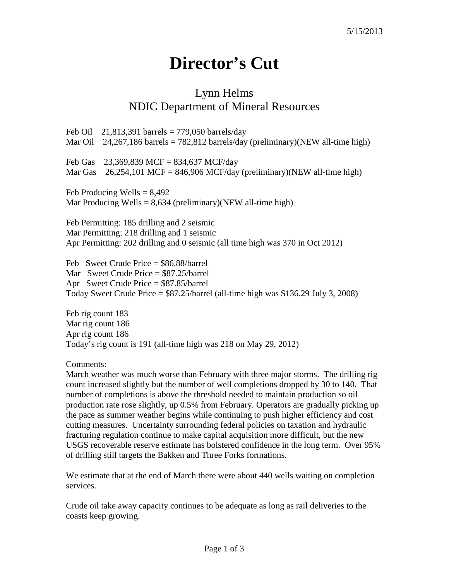## **Director's Cut**

## Lynn Helms NDIC Department of Mineral Resources

Feb Oil 21,813,391 barrels =  $779,050$  barrels/day Mar Oil 24,267,186 barrels = 782,812 barrels/day (preliminary)(NEW all-time high) Feb Gas 23,369,839 MCF = 834,637 MCF/day Mar Gas  $26,254,101$  MCF = 846,906 MCF/day (preliminary)(NEW all-time high) Feb Producing Wells  $= 8,492$ Mar Producing Wells =  $8,634$  (preliminary)(NEW all-time high) Feb Permitting: 185 drilling and 2 seismic Mar Permitting: 218 drilling and 1 seismic Apr Permitting: 202 drilling and 0 seismic (all time high was 370 in Oct 2012) Feb Sweet Crude Price = \$86.88/barrel Mar Sweet Crude Price = \$87.25/barrel Apr Sweet Crude Price = \$87.85/barrel Today Sweet Crude Price  $=$  \$87.25/barrel (all-time high was \$136.29 July 3, 2008)

Feb rig count 183 Mar rig count 186 Apr rig count 186 Today's rig count is 191 (all-time high was 218 on May 29, 2012)

Comments:

March weather was much worse than February with three major storms. The drilling rig count increased slightly but the number of well completions dropped by 30 to 140. That number of completions is above the threshold needed to maintain production so oil production rate rose slightly, up 0.5% from February. Operators are gradually picking up the pace as summer weather begins while continuing to push higher efficiency and cost cutting measures. Uncertainty surrounding federal policies on taxation and hydraulic fracturing regulation continue to make capital acquisition more difficult, but the new USGS recoverable reserve estimate has bolstered confidence in the long term. Over 95% of drilling still targets the Bakken and Three Forks formations.

We estimate that at the end of March there were about 440 wells waiting on completion services.

Crude oil take away capacity continues to be adequate as long as rail deliveries to the coasts keep growing.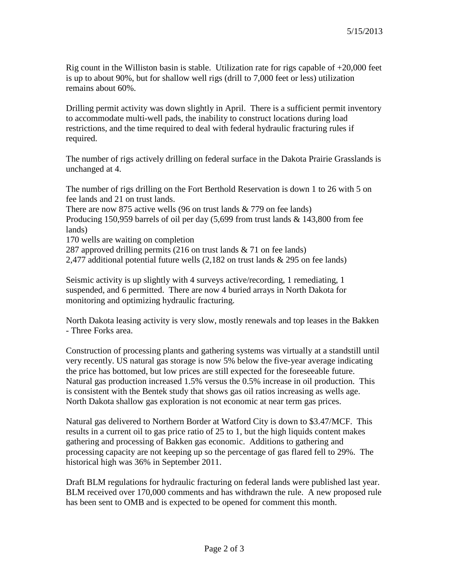Rig count in the Williston basin is stable. Utilization rate for rigs capable of  $+20,000$  feet is up to about 90%, but for shallow well rigs (drill to 7,000 feet or less) utilization remains about 60%.

Drilling permit activity was down slightly in April. There is a sufficient permit inventory to accommodate multi-well pads, the inability to construct locations during load restrictions, and the time required to deal with federal hydraulic fracturing rules if required.

The number of rigs actively drilling on federal surface in the Dakota Prairie Grasslands is unchanged at 4.

The number of rigs drilling on the Fort Berthold Reservation is down 1 to 26 with 5 on fee lands and 21 on trust lands. There are now 875 active wells (96 on trust lands & 779 on fee lands) Producing 150,959 barrels of oil per day (5,699 from trust lands & 143,800 from fee lands) 170 wells are waiting on completion 287 approved drilling permits (216 on trust lands & 71 on fee lands) 2,477 additional potential future wells (2,182 on trust lands & 295 on fee lands)

Seismic activity is up slightly with 4 surveys active/recording, 1 remediating, 1 suspended, and 6 permitted. There are now 4 buried arrays in North Dakota for monitoring and optimizing hydraulic fracturing.

North Dakota leasing activity is very slow, mostly renewals and top leases in the Bakken - Three Forks area.

Construction of processing plants and gathering systems was virtually at a standstill until very recently. US natural gas storage is now 5% below the five-year average indicating the price has bottomed, but low prices are still expected for the foreseeable future. Natural gas production increased 1.5% versus the 0.5% increase in oil production. This is consistent with the Bentek study that shows gas oil ratios increasing as wells age. North Dakota shallow gas exploration is not economic at near term gas prices.

Natural gas delivered to Northern Border at Watford City is down to \$3.47/MCF. This results in a current oil to gas price ratio of 25 to 1, but the high liquids content makes gathering and processing of Bakken gas economic. Additions to gathering and processing capacity are not keeping up so the percentage of gas flared fell to 29%. The historical high was 36% in September 2011.

Draft BLM regulations for hydraulic fracturing on federal lands were published last year. BLM received over 170,000 comments and has withdrawn the rule. A new proposed rule has been sent to OMB and is expected to be opened for comment this month.